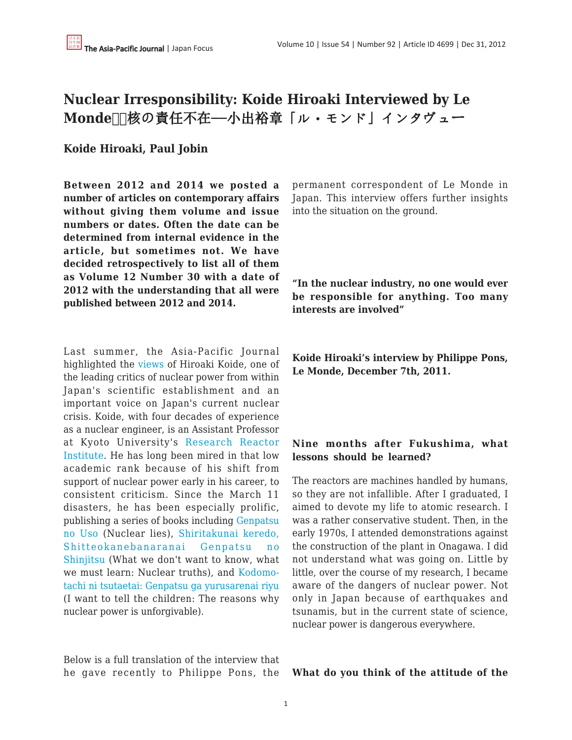# **Nuclear Irresponsibility: Koide Hiroaki Interviewed by Le** Monde **■核の責任不在**––小出裕章「ル・モンド」インタヴュー

### **Koide Hiroaki, Paul Jobin**

**Between 2012 and 2014 we posted a number of articles on contemporary affairs without giving them volume and issue numbers or dates. Often the date can be determined from internal evidence in the article, but sometimes not. We have decided retrospectively to list all of them as Volume 12 Number 30 with a date of 2012 with the understanding that all were published between 2012 and 2014.**

Last summer, the Asia-Pacific Journal highlighted the [views](http://japanfocus.org/-Koide-Hiroaki/3582) of Hiroaki Koide, one of the leading critics of nuclear power from within Japan's scientific establishment and an important voice on Japan's current nuclear crisis. Koide, with four decades of experience as a nuclear engineer, is an Assistant Professor at Kyoto University's [Research Reactor](http://www.rri.kyoto-u.ac.jp/en/) [Institute](http://www.rri.kyoto-u.ac.jp/en/). He has long been mired in that low academic rank because of his shift from support of nuclear power early in his career, to consistent criticism. Since the March 11 disasters, he has been especially prolific, publishing a series of books including [Genpatsu](http://www.amazon.co.jp/%E5%8E%9F%E7%99%BA%E3%81%AE%E3%82%A6%E3%82%BD-%E6%89%B6%E6%A1%91%E7%A4%BE%E6%96%B0%E6%9B%B8-%E5%B0%8F%E5%87%BA-%E8%A3%95%E7%AB%A0/dp/4594064205/ref=sr_1_1?ie=UTF8&qid=1324517830&sr=8-1) [no Uso](http://www.amazon.co.jp/%E5%8E%9F%E7%99%BA%E3%81%AE%E3%82%A6%E3%82%BD-%E6%89%B6%E6%A1%91%E7%A4%BE%E6%96%B0%E6%9B%B8-%E5%B0%8F%E5%87%BA-%E8%A3%95%E7%AB%A0/dp/4594064205/ref=sr_1_1?ie=UTF8&qid=1324517830&sr=8-1) (Nuclear lies), [Shiritakunai keredo,](http://www.amazon.co.jp/%E7%9F%A5%E3%82%8A%E3%81%9F%E3%81%8F%E3%81%AA%E3%81%84%E3%81%91%E3%82%8C%E3%81%A9%E3%80%81%E7%9F%A5%E3%81%A3%E3%81%A6%E3%81%8A%E3%81%8B%E3%81%AD%E3%81%B0%E3%81%AA%E3%82%89%E3%81%AA%E3%81%84-%E5%8E%9F%E7%99%BA%E3%81%AE%E7%9C%9F%E5%AE%9F-%E5%B0%8F%E5%87%BA-%E8%A3%95%E7%AB%A0/dp/4344020545/ref=sr_1_3?ie=UTF8&qid=1324517830&sr=8-3) [Shitteokanebanaranai Genpatsu no](http://www.amazon.co.jp/%E7%9F%A5%E3%82%8A%E3%81%9F%E3%81%8F%E3%81%AA%E3%81%84%E3%81%91%E3%82%8C%E3%81%A9%E3%80%81%E7%9F%A5%E3%81%A3%E3%81%A6%E3%81%8A%E3%81%8B%E3%81%AD%E3%81%B0%E3%81%AA%E3%82%89%E3%81%AA%E3%81%84-%E5%8E%9F%E7%99%BA%E3%81%AE%E7%9C%9F%E5%AE%9F-%E5%B0%8F%E5%87%BA-%E8%A3%95%E7%AB%A0/dp/4344020545/ref=sr_1_3?ie=UTF8&qid=1324517830&sr=8-3) [Shinjitsu](http://www.amazon.co.jp/%E7%9F%A5%E3%82%8A%E3%81%9F%E3%81%8F%E3%81%AA%E3%81%84%E3%81%91%E3%82%8C%E3%81%A9%E3%80%81%E7%9F%A5%E3%81%A3%E3%81%A6%E3%81%8A%E3%81%8B%E3%81%AD%E3%81%B0%E3%81%AA%E3%82%89%E3%81%AA%E3%81%84-%E5%8E%9F%E7%99%BA%E3%81%AE%E7%9C%9F%E5%AE%9F-%E5%B0%8F%E5%87%BA-%E8%A3%95%E7%AB%A0/dp/4344020545/ref=sr_1_3?ie=UTF8&qid=1324517830&sr=8-3) (What we don't want to know, what we must learn: Nuclear truths), and [Kodomo](http://www.amazon.co.jp/%E5%AD%90%E3%81%A9%E3%82%82%E3%81%9F%E3%81%A1%E3%81%AB%E4%BC%9D%E3%81%88%E3%81%9F%E3%81%84%E2%80%95%E2%80%95-%E5%8E%9F%E7%99%BA%E3%81%8C%E8%A8%B1%E3%81%95%E3%82%8C%E3%81%AA%E3%81%84%E7%90%86%E7%94%B1-%E5%B0%8F%E5%87%BA-%E8%A3%95%E7%AB%A0/dp/4809409805/ref=sr_1_4?ie=UTF8&qid=1324517830&sr=8-4)[tachi ni tsutaetai: Genpatsu ga yurusarenai riyu](http://www.amazon.co.jp/%E5%AD%90%E3%81%A9%E3%82%82%E3%81%9F%E3%81%A1%E3%81%AB%E4%BC%9D%E3%81%88%E3%81%9F%E3%81%84%E2%80%95%E2%80%95-%E5%8E%9F%E7%99%BA%E3%81%8C%E8%A8%B1%E3%81%95%E3%82%8C%E3%81%AA%E3%81%84%E7%90%86%E7%94%B1-%E5%B0%8F%E5%87%BA-%E8%A3%95%E7%AB%A0/dp/4809409805/ref=sr_1_4?ie=UTF8&qid=1324517830&sr=8-4) (I want to tell the children: The reasons why nuclear power is unforgivable).

Below is a full translation of the interview that he gave recently to Philippe Pons, the permanent correspondent of Le Monde in Japan. This interview offers further insights into the situation on the ground.

**"In the nuclear industry, no one would ever be responsible for anything. Too many interests are involved"**

**Koide Hiroaki's interview by Philippe Pons, Le Monde, December 7th, 2011.**

#### **Nine months after Fukushima, what lessons should be learned?**

The reactors are machines handled by humans, so they are not infallible. After I graduated, I aimed to devote my life to atomic research. I was a rather conservative student. Then, in the early 1970s, I attended demonstrations against the construction of the plant in Onagawa. I did not understand what was going on. Little by little, over the course of my research, I became aware of the dangers of nuclear power. Not only in Japan because of earthquakes and tsunamis, but in the current state of science, nuclear power is dangerous everywhere.

#### **What do you think of the attitude of the**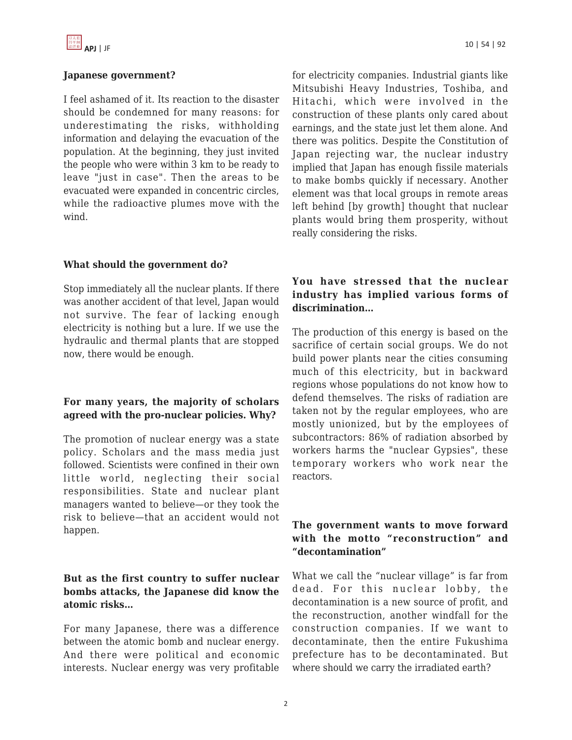

#### **Japanese government?**

I feel ashamed of it. Its reaction to the disaster should be condemned for many reasons: for underestimating the risks, withholding information and delaying the evacuation of the population. At the beginning, they just invited the people who were within 3 km to be ready to leave "just in case". Then the areas to be evacuated were expanded in concentric circles, while the radioactive plumes move with the wind.

for electricity companies. Industrial giants like Mitsubishi Heavy Industries, Toshiba, and Hitachi, which were involved in the construction of these plants only cared about earnings, and the state just let them alone. And there was politics. Despite the Constitution of Japan rejecting war, the nuclear industry implied that Japan has enough fissile materials to make bombs quickly if necessary. Another element was that local groups in remote areas left behind [by growth] thought that nuclear plants would bring them prosperity, without really considering the risks.

### **What should the government do?**

Stop immediately all the nuclear plants. If there was another accident of that level, Japan would not survive. The fear of lacking enough electricity is nothing but a lure. If we use the hydraulic and thermal plants that are stopped now, there would be enough.

### **For many years, the majority of scholars agreed with the pro-nuclear policies. Why?**

The promotion of nuclear energy was a state policy. Scholars and the mass media just followed. Scientists were confined in their own little world, neglecting their social responsibilities. State and nuclear plant managers wanted to believe—or they took the risk to believe—that an accident would not happen.

## **But as the first country to suffer nuclear bombs attacks, the Japanese did know the atomic risks…**

For many Japanese, there was a difference between the atomic bomb and nuclear energy. And there were political and economic interests. Nuclear energy was very profitable

#### **You have stressed that the nuclear industry has implied various forms of discrimination…**

The production of this energy is based on the sacrifice of certain social groups. We do not build power plants near the cities consuming much of this electricity, but in backward regions whose populations do not know how to defend themselves. The risks of radiation are taken not by the regular employees, who are mostly unionized, but by the employees of subcontractors: 86% of radiation absorbed by workers harms the "nuclear Gypsies", these temporary workers who work near the reactors.

### **The government wants to move forward with the motto "reconstruction" and "decontamination"**

What we call the "nuclear village" is far from dead. For this nuclear lobby, the decontamination is a new source of profit, and the reconstruction, another windfall for the construction companies. If we want to decontaminate, then the entire Fukushima prefecture has to be decontaminated. But where should we carry the irradiated earth?